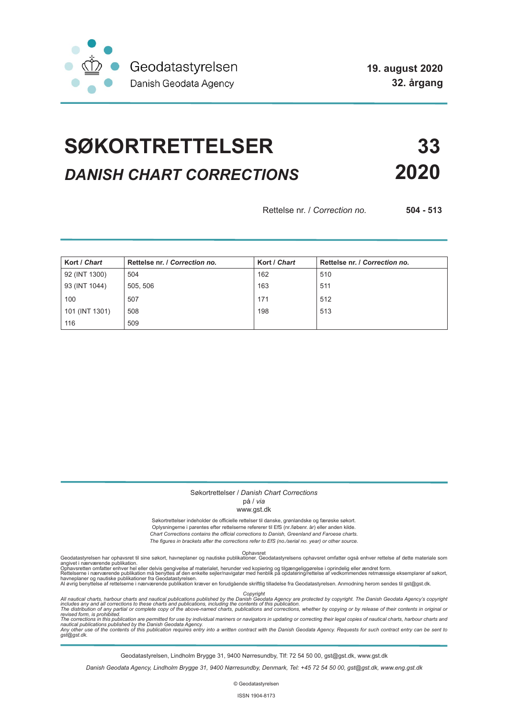

**19. august 2020 32. årgang**

# **SØKORTRETTELSER 33** *DANISH CHART CORRECTIONS* **2020**

Rettelse nr. / *Correction no.* **504 - 513**

| Kort / Chart   | Rettelse nr. / Correction no. | Kort / Chart | Rettelse nr. / Correction no. |
|----------------|-------------------------------|--------------|-------------------------------|
| 92 (INT 1300)  | 504                           | 162          | 510                           |
| 93 (INT 1044)  | 505, 506                      | 163          | 511                           |
| 100            | 507                           | 171          | 512                           |
| 101 (INT 1301) | 508                           | 198          | 513                           |
| 116            | 509                           |              |                               |

### Søkortrettelser / *Danish Chart Corrections*

## på / *via*

#### www.gst.dk

Søkortrettelser indeholder de officielle rettelser til danske, grønlandske og færøske søkort. Oplysningerne i parentes efter rettelserne refererer til EfS (nr./løbenr. år) eller anden kilde. *Chart Corrections contains the official corrections to Danish, Greenland and Faroese charts. The figures in brackets after the corrections refer to EfS (no./serial no. year) or other source.*

Ophavsret Geodatastyrelsen har ophavsret til sine søkort, havneplaner og nautiske publikationer. Geodatastyrelsens ophavsret omfatter også enhver rettelse af dette materiale som

angivet i nærværende publikation.<br>Ophavsretten omfatter enhver hel eller delvis gengivelse af materialet, herunder ved kopiering og tilgængeliggørelse i oprindelig eller ændret form.<br>Rettelserne i nærværende publikation må

Copyright<br>includes any and all corrections to these charts and publications published by the Danish Agency are protected by copyright. The Danish Geodata Agency's copyright<br>includes any and all corrections to these charts

Geodatastyrelsen, Lindholm Brygge 31, 9400 Nørresundby, Tlf: 72 54 50 00, gst@gst.dk, www.gst.dk

*Danish Geodata Agency, Lindholm Brygge 31, 9400 Nørresundby, Denmark, Tel: +45 72 54 50 00, gst@gst.dk, www.eng.gst.dk*

© Geodatastyrelsen

ISSN 1904-8173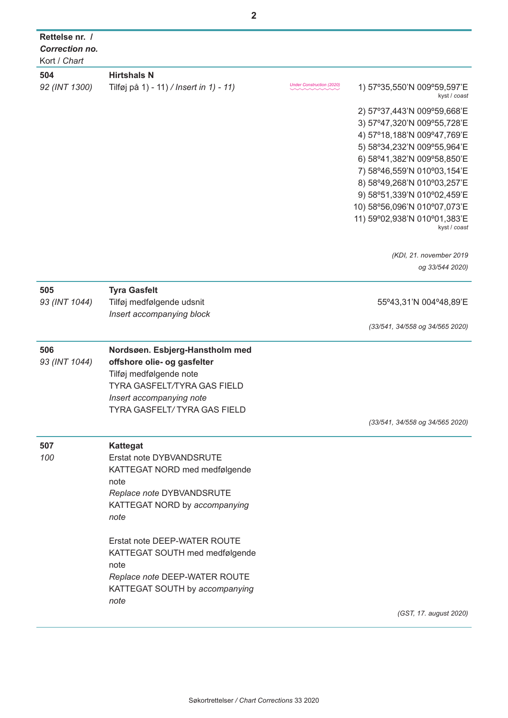| Rettelse nr. /<br><b>Correction no.</b> |                                         |                                  |                                              |
|-----------------------------------------|-----------------------------------------|----------------------------------|----------------------------------------------|
| Kort / Chart                            |                                         |                                  |                                              |
| 504                                     | <b>Hirtshals N</b>                      |                                  |                                              |
| 92 (INT 1300)                           | Tilføj på 1) - 11) / Insert in 1) - 11) | <b>Under Construction (2020)</b> | 1) 57°35,550'N 009°59,597'E<br>kyst / coast  |
|                                         |                                         |                                  | 2) 57°37,443'N 009°59,668'E                  |
|                                         |                                         |                                  | 3) 57°47,320'N 009°55,728'E                  |
|                                         |                                         |                                  | 4) 57°18,188'N 009°47,769'E                  |
|                                         |                                         |                                  | 5) 58°34, 232'N 009°55, 964'E                |
|                                         |                                         |                                  | 6) 58°41,382'N 009°58,850'E                  |
|                                         |                                         |                                  | 7) 58°46,559'N 010°03,154'E                  |
|                                         |                                         |                                  | 8) 58°49,268'N 010°03,257'E                  |
|                                         |                                         |                                  | 9) 58°51,339'N 010°02,459'E                  |
|                                         |                                         |                                  | 10) 58°56,096'N 010°07,073'E                 |
|                                         |                                         |                                  | 11) 59°02,938'N 010°01,383'E<br>kyst / coast |
|                                         |                                         |                                  | (KDI, 21. november 2019                      |
|                                         |                                         |                                  | og 33/544 2020)                              |
| 505                                     | <b>Tyra Gasfelt</b>                     |                                  |                                              |
| 93 (INT 1044)                           | Tilføj medfølgende udsnit               |                                  | 55°43,31'N 004°48,89'E                       |
|                                         | Insert accompanying block               |                                  |                                              |
|                                         |                                         |                                  | (33/541, 34/558 og 34/565 2020)              |
| 506                                     | Nordsøen. Esbjerg-Hanstholm med         |                                  |                                              |
| 93 (INT 1044)                           | offshore olie- og gasfelter             |                                  |                                              |
|                                         | Tilføj medfølgende note                 |                                  |                                              |
|                                         | TYRA GASFELT/TYRA GAS FIELD             |                                  |                                              |
|                                         | Insert accompanying note                |                                  |                                              |
|                                         | <b>TYRA GASFELT/TYRA GAS FIELD</b>      |                                  |                                              |
|                                         |                                         |                                  | (33/541, 34/558 og 34/565 2020)              |
| 507                                     | <b>Kattegat</b>                         |                                  |                                              |
| 100                                     | Erstat note DYBVANDSRUTE                |                                  |                                              |
|                                         | KATTEGAT NORD med medfølgende           |                                  |                                              |
|                                         | note                                    |                                  |                                              |
|                                         | Replace note DYBVANDSRUTE               |                                  |                                              |
|                                         | KATTEGAT NORD by accompanying           |                                  |                                              |
|                                         | note                                    |                                  |                                              |
|                                         | Erstat note DEEP-WATER ROUTE            |                                  |                                              |
|                                         | KATTEGAT SOUTH med medfølgende          |                                  |                                              |
|                                         | note                                    |                                  |                                              |
|                                         | Replace note DEEP-WATER ROUTE           |                                  |                                              |
|                                         | KATTEGAT SOUTH by accompanying          |                                  |                                              |
|                                         | note                                    |                                  |                                              |
|                                         |                                         |                                  | (GST, 17. august 2020)                       |

**2**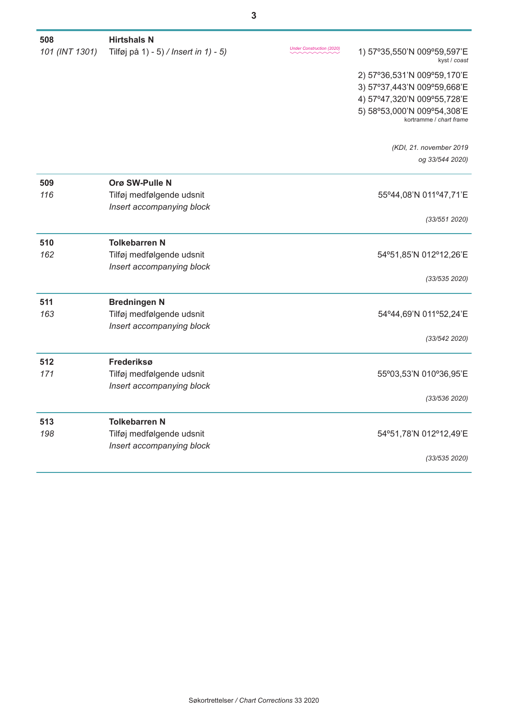| 508            | <b>Hirtshals N</b>                    |                           |                                                        |
|----------------|---------------------------------------|---------------------------|--------------------------------------------------------|
| 101 (INT 1301) | Tilføj på 1) - 5) / Insert in 1) - 5) | Under Construction (2020) | 1) 57°35,550'N 009°59,597'E<br>kyst / coast            |
|                |                                       |                           | 2) 57°36,531'N 009°59,170'E                            |
|                |                                       |                           | 3) 57°37,443'N 009°59,668'E                            |
|                |                                       |                           | 4) 57°47,320'N 009°55,728'E                            |
|                |                                       |                           | 5) 58°53,000'N 009°54,308'E<br>kortramme / chart frame |
|                |                                       |                           |                                                        |
|                |                                       |                           | (KDI, 21. november 2019)<br>og 33/544 2020)            |
|                |                                       |                           |                                                        |
| 509            | Orø SW-Pulle N                        |                           |                                                        |
| 116            | Tilføj medfølgende udsnit             |                           | 55°44,08'N 011°47,71'E                                 |
|                | Insert accompanying block             |                           |                                                        |
|                |                                       |                           | (33/551 2020)                                          |
| 510            | <b>Tolkebarren N</b>                  |                           |                                                        |
| 162            | Tilføj medfølgende udsnit             |                           | 54°51,85'N 012°12,26'E                                 |
|                | Insert accompanying block             |                           |                                                        |
|                |                                       |                           | (33/535 2020)                                          |
| 511            | <b>Bredningen N</b>                   |                           |                                                        |
| 163            | Tilføj medfølgende udsnit             |                           | 54°44,69'N 011°52,24'E                                 |
|                | Insert accompanying block             |                           |                                                        |
|                |                                       |                           | (33/542 2020)                                          |
| 512            | Frederiksø                            |                           |                                                        |
| 171            | Tilføj medfølgende udsnit             |                           | 55°03,53'N 010°36,95'E                                 |
|                | Insert accompanying block             |                           |                                                        |
|                |                                       |                           | (33/536 2020)                                          |
| 513            | <b>Tolkebarren N</b>                  |                           |                                                        |
| 198            | Tilføj medfølgende udsnit             |                           | 54°51,78'N 012°12,49'E                                 |
|                | Insert accompanying block             |                           |                                                        |
|                |                                       |                           | (33/535 2020)                                          |
|                |                                       |                           |                                                        |

**3**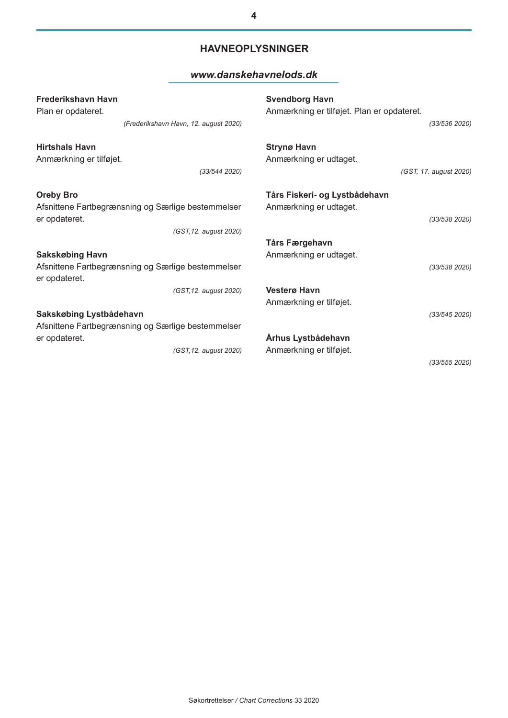# **HAVNEOPLYSNINGER**

# *[www.danskehavnelods.dk](http://www.danskehavnelods.dk/)*

| <b>Frederikshavn Havn</b>                                                                                         | <b>Svendborg Havn</b>                                                    |
|-------------------------------------------------------------------------------------------------------------------|--------------------------------------------------------------------------|
| Plan er opdateret.                                                                                                | Anmærkning er tilføjet. Plan er opdateret.                               |
| (Frederikshavn Havn, 12. august 2020)                                                                             | (33/536 2020)                                                            |
| <b>Hirtshals Havn</b>                                                                                             | <b>Strynø Havn</b>                                                       |
| Anmærkning er tilføjet.                                                                                           | Anmærkning er udtaget.                                                   |
| (33/544 2020)                                                                                                     | (GST, 17. august 2020)                                                   |
| <b>Oreby Bro</b><br>Afsnittene Fartbegrænsning og Særlige bestemmelser<br>er opdateret.<br>(GST, 12. august 2020) | Tårs Fiskeri- og Lystbådehavn<br>Anmærkning er udtaget.<br>(33/538 2020) |
| <b>Sakskøbing Havn</b>                                                                                            | Tårs Færgehavn                                                           |
| Afsnittene Fartbegrænsning og Særlige bestemmelser                                                                | Anmærkning er udtaget.                                                   |
| er opdateret.                                                                                                     | (33/538 2020)                                                            |
| (GST, 12. august 2020)<br>Sakskøbing Lystbådehavn                                                                 | <b>Vesterø Havn</b><br>Anmærkning er tilføjet.<br>(33/545 2020)          |
| Afsnittene Fartbegrænsning og Særlige bestemmelser                                                                | Århus Lystbådehavn                                                       |
| er opdateret.                                                                                                     | Anmærkning er tilføjet.                                                  |
| (GST, 12. august 2020)                                                                                            | (33/555 2020)                                                            |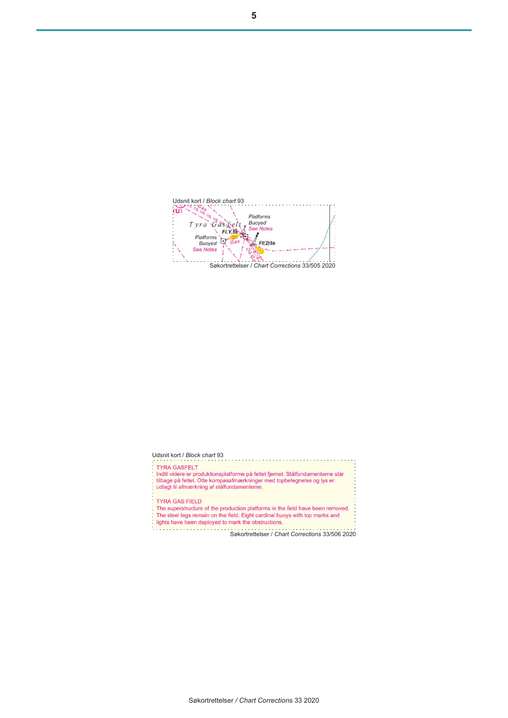Udsnit kort / *Block chart* 93 Tyra Gastelt Platforms Pratforms<br>Buoyed<br>See Notes Platforms<br>Buoyed<br>See Notes  $\sqrt{F/(2)5s}$ Søkortrettelser / *Chart Corrections* 33/505 2020

#### Udsnit kort / *Block chart* 93

- **TYRA GASFELT**
- 
- Tinnen och Lind<br>Indtil videre er produktionsplatforme på feltet fjernet. Stålfundamenterne står<br>tilbage på feltet. Otte kompasafmærkninger med topbetegnelse og lys er<br>udlagt til afmærkning af stålfundamenterne.
- 
- **TYRA GAS FIELD**

. . . . . . . . . . . . . . .

ĩ,

- The superstructure of the production platforms in the field have been removed.<br>The steel legs remain on the field. Eight cardinal buoys with top marks and lights have been deployed to mark the obstructions.
- -

Søkortrettelser / *Chart Corrections* 33/506 2020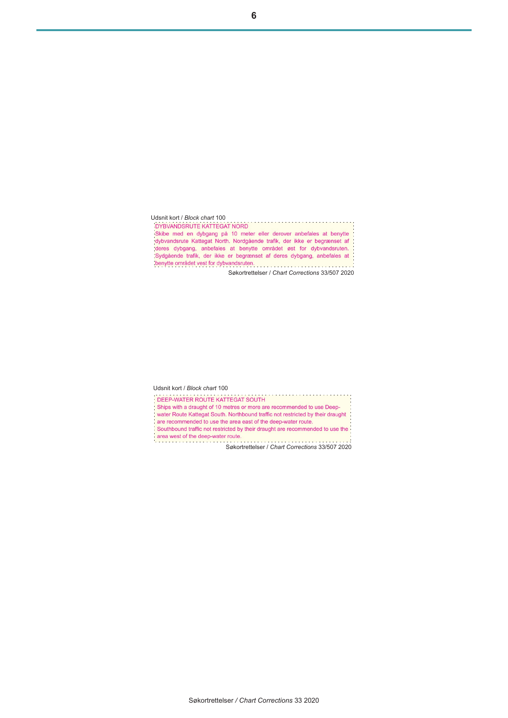| Udsnit kort / Block chart 100                                            |
|--------------------------------------------------------------------------|
| <b>DYBVANDSRUTE KATTEGAT NORD</b>                                        |
| Skibe med en dybgang på 10 meter eller derover anbefales at benytte      |
| dybvandsrute Kattegat North. Nordgående trafik, der ikke er begrænset af |
| deres dybgang, anbefales at benytte området øst for dybvandsruten.       |
| Sydgående trafik, der ikke er begrænset af deres dybgang, anbefales at   |
| benytte området vest for dybvandsruten.                                  |
| Søkortrettelser / Chart Corrections 33/507 2020                          |

Udsnit kort / *Block chart* 100 Ships with a draught of 10 metres or more are recommended to use Deep-

water Route Kattegat South. Northbound traffic not restricted by their draught

are recommended to use the area east of the deep-water route.

Southbound traffic not restricted by their draught are recommended to use the Southbound trains not result be y when the series of the deep-water route.<br>
Søkortrettelser / *Chart Corrections* 33/507 2020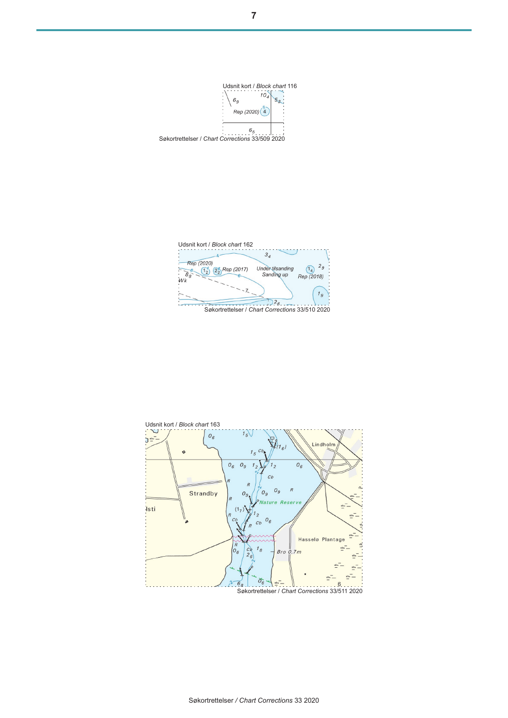